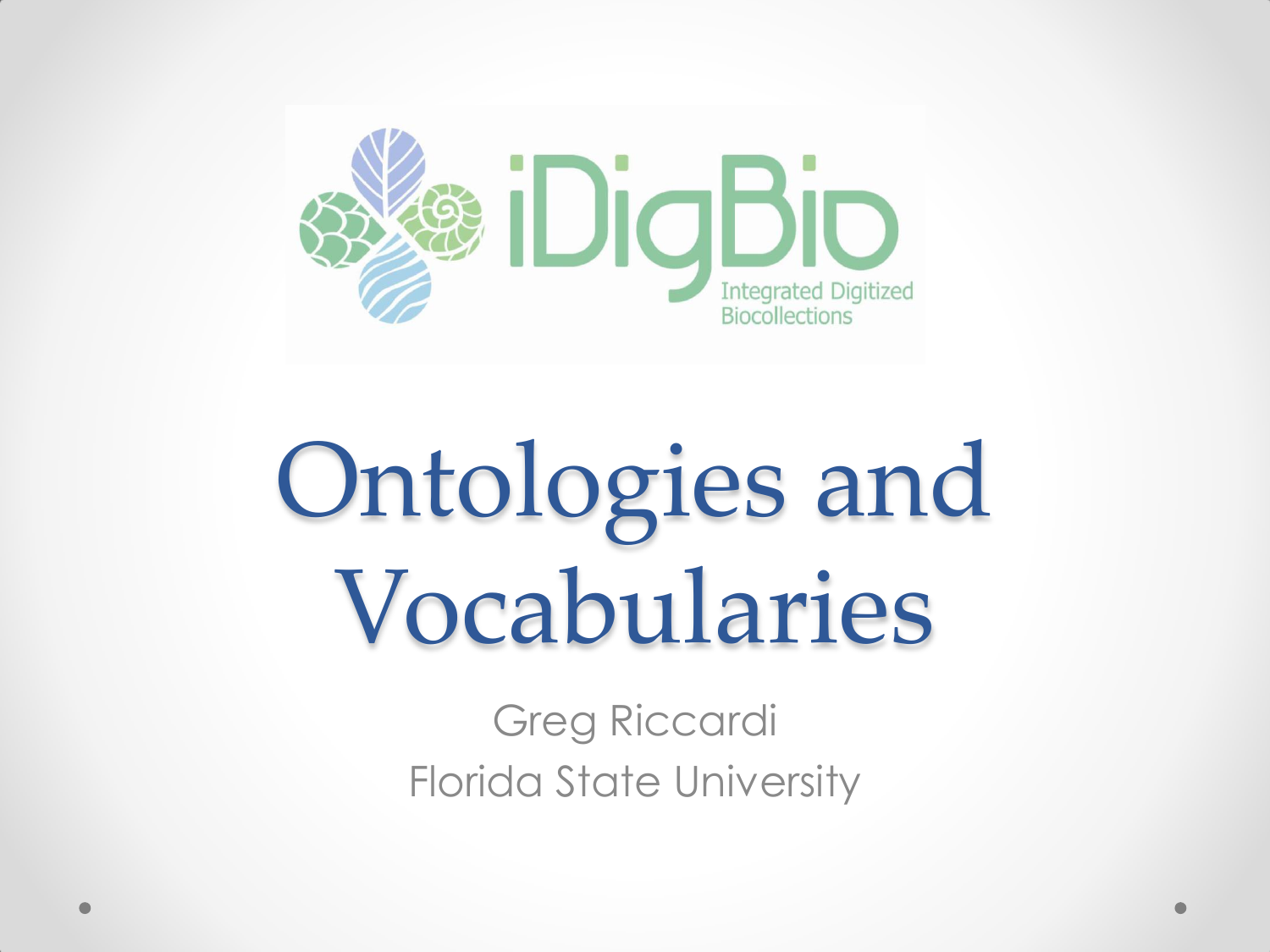

# Ontologies and Vocabularies

Greg Riccardi Florida State University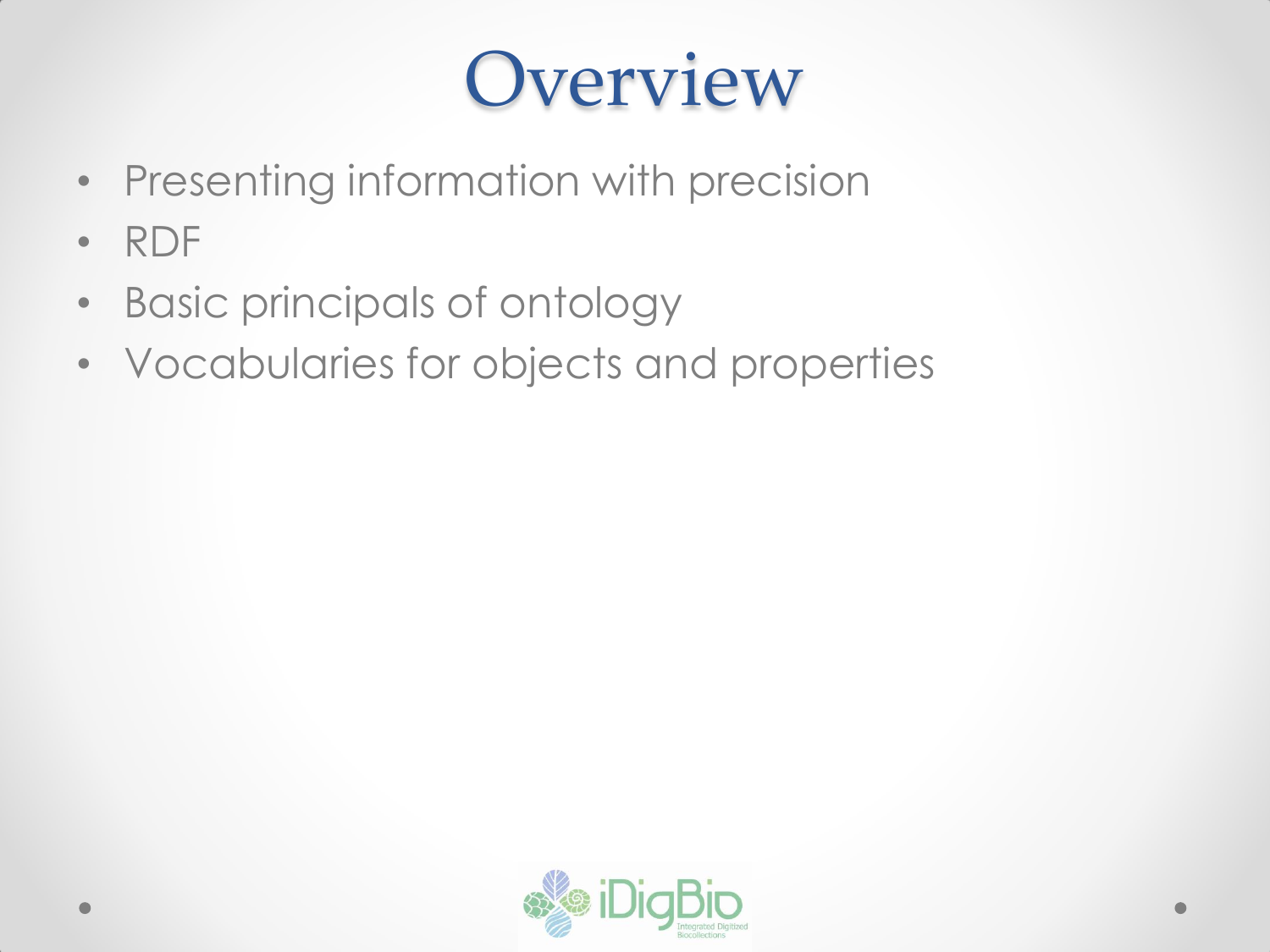### **Overview**

- Presenting information with precision
- RDF
- Basic principals of ontology
- Vocabularies for objects and properties

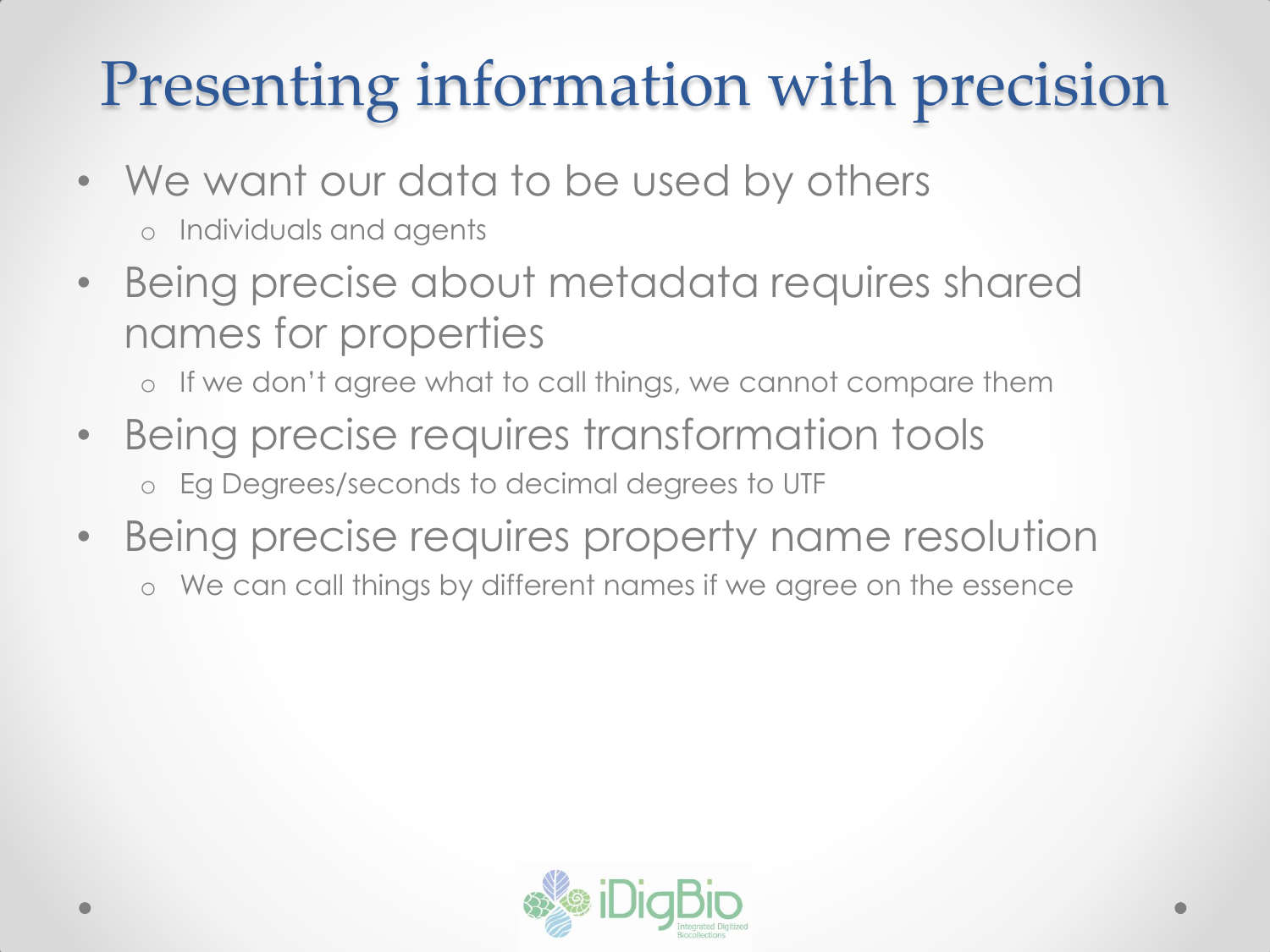#### Presenting information with precision

- We want our data to be used by others o Individuals and agents
- Being precise about metadata requires shared names for properties
	- o If we don't agree what to call things, we cannot compare them
- Being precise requires transformation tools o Eg Degrees/seconds to decimal degrees to UTF
- Being precise requires property name resolution
	- o We can call things by different names if we agree on the essence

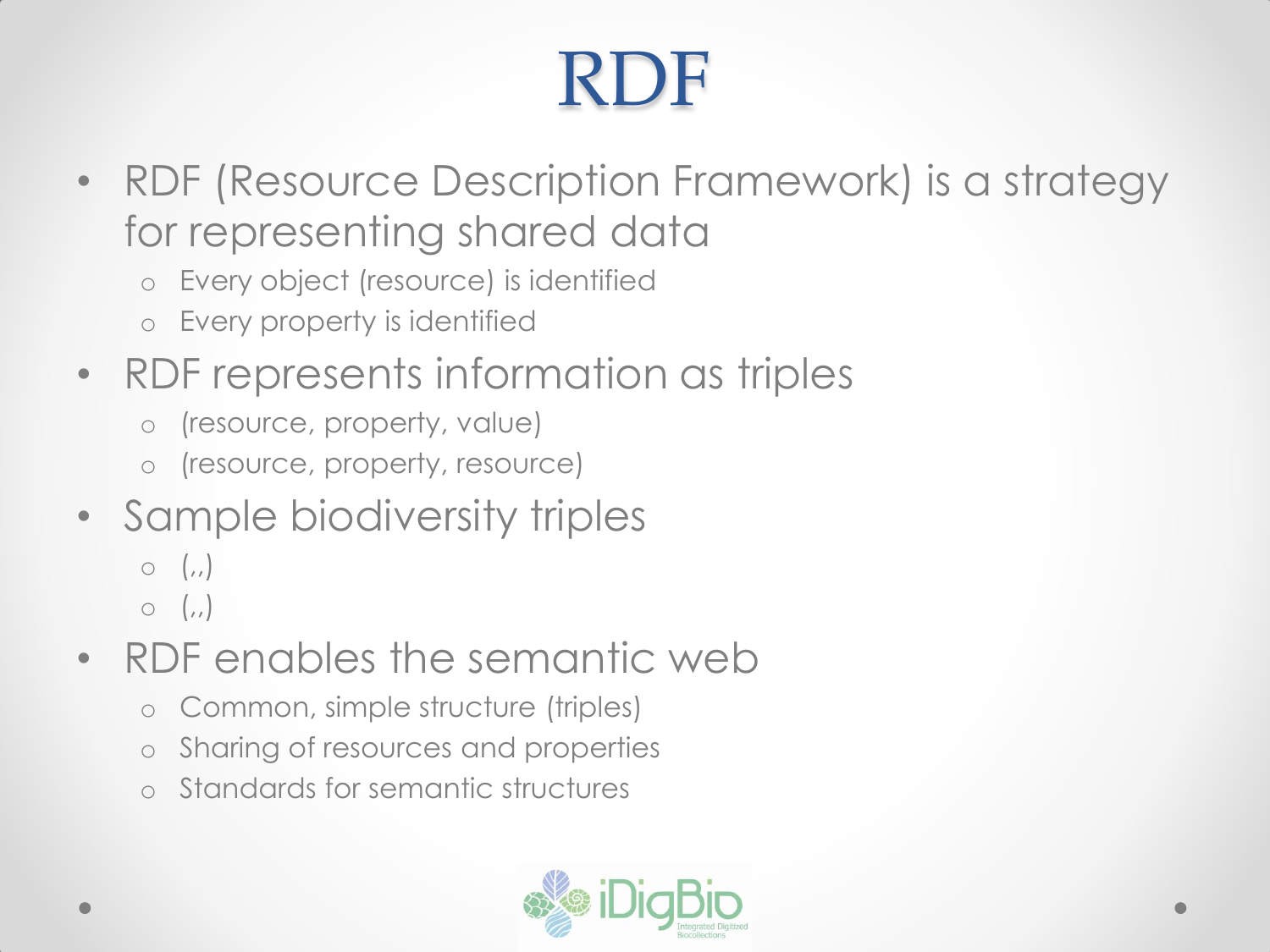## RDF

- RDF (Resource Description Framework) is a strategy for representing shared data
	- o Every object (resource) is identified
	- o Every property is identified
- RDF represents information as triples
	- o (resource, property, value)
	- o (resource, property, resource)
- Sample biodiversity triples
	- $\circ$   $\left($ ,
	- $\circ$   $\left( \right)$
- RDF enables the semantic web
	- o Common, simple structure (triples)
	- o Sharing of resources and properties
	- Standards for semantic structures

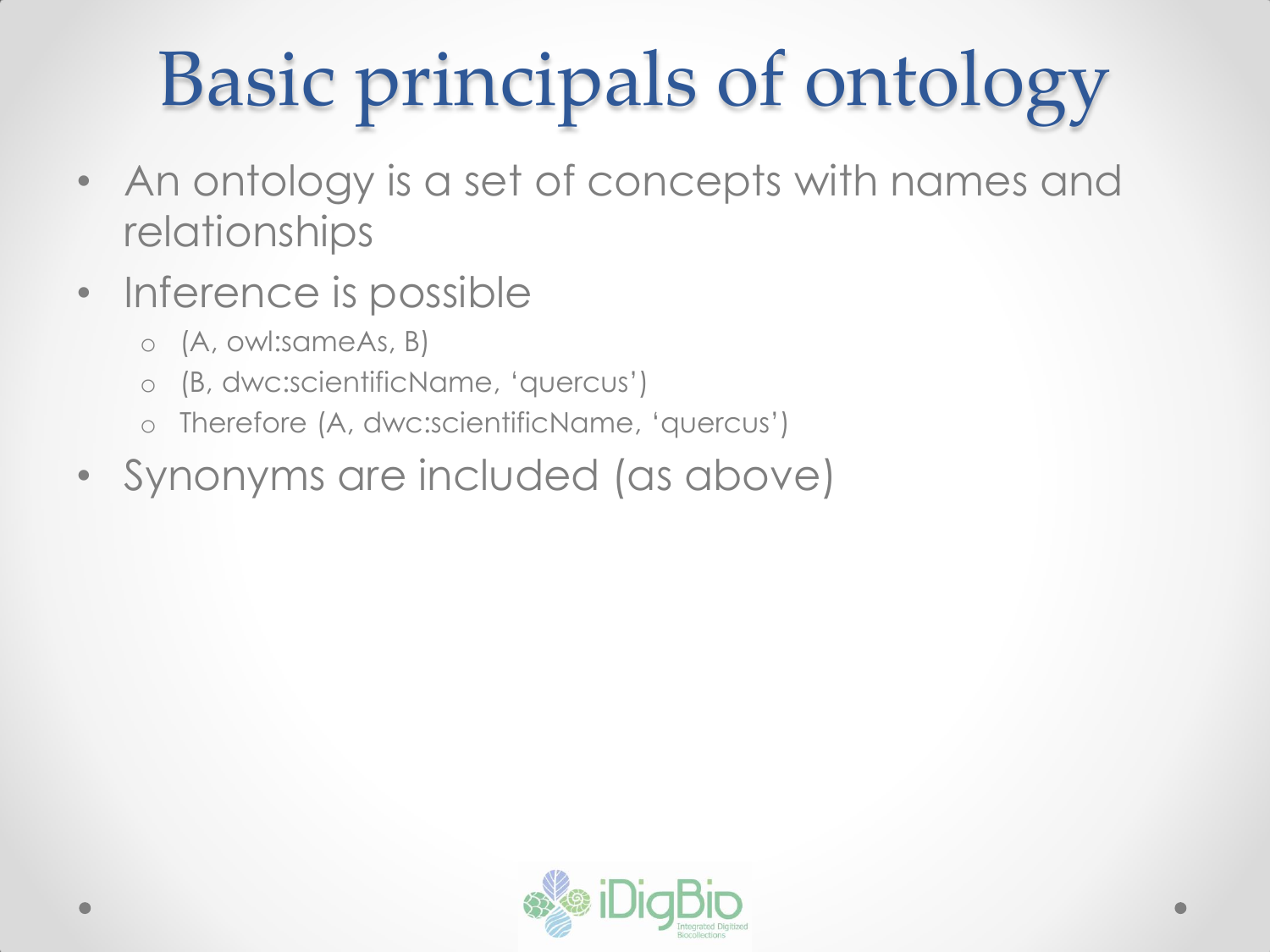## Basic principals of ontology

- An ontology is a set of concepts with names and relationships
- Inference is possible
	- o (A, owl:sameAs, B)
	- o (B, dwc:scientificName, 'quercus')
	- o Therefore (A, dwc:scientificName, 'quercus')
- Synonyms are included (as above)